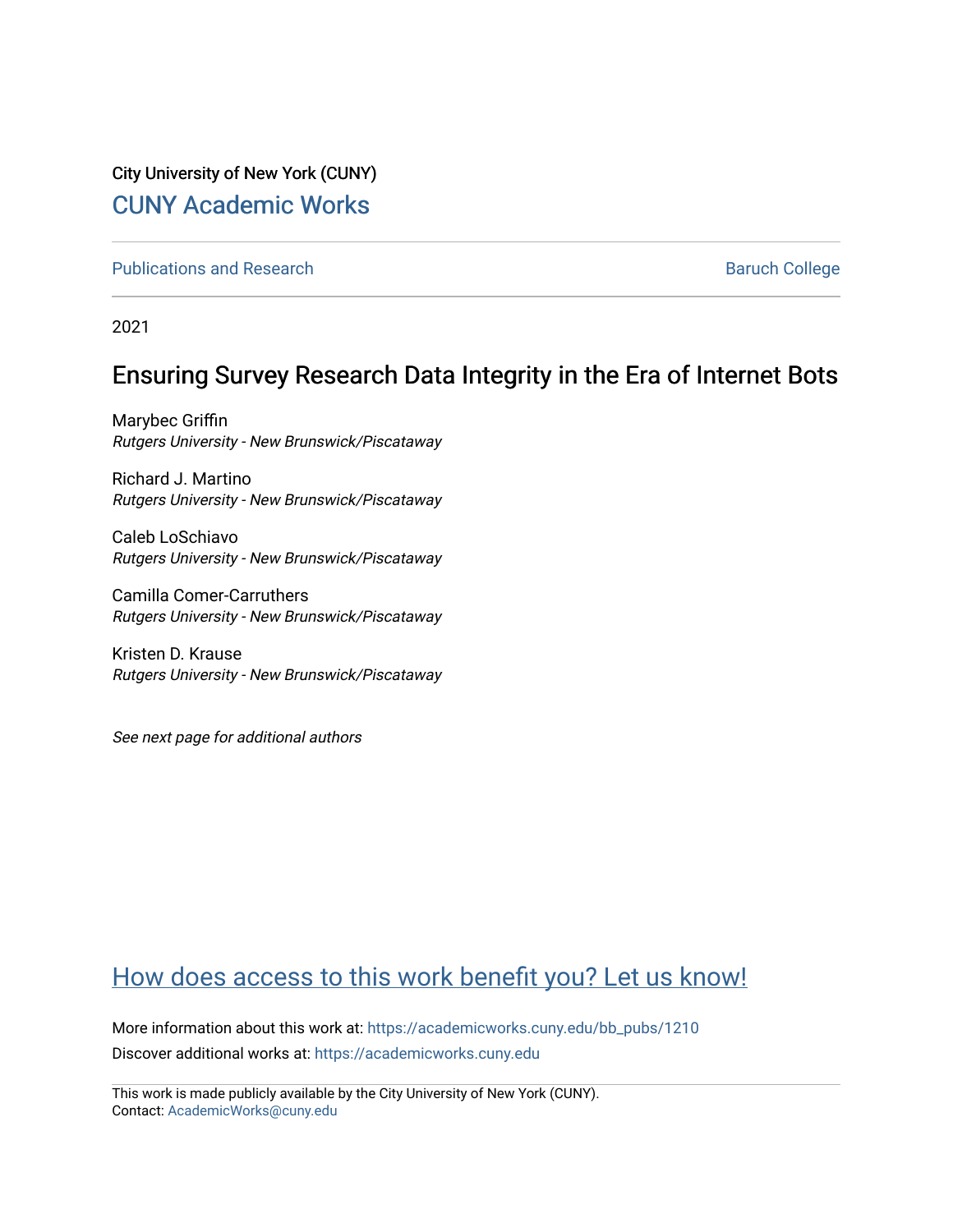# City University of New York (CUNY) [CUNY Academic Works](https://academicworks.cuny.edu/)

[Publications and Research](https://academicworks.cuny.edu/bb_pubs) **Baruch College** Baruch College

2021

# Ensuring Survey Research Data Integrity in the Era of Internet Bots

Marybec Griffin Rutgers University - New Brunswick/Piscataway

Richard J. Martino Rutgers University - New Brunswick/Piscataway

Caleb LoSchiavo Rutgers University - New Brunswick/Piscataway

Camilla Comer-Carruthers Rutgers University - New Brunswick/Piscataway

Kristen D. Krause Rutgers University - New Brunswick/Piscataway

See next page for additional authors

# [How does access to this work benefit you? Let us know!](http://ols.cuny.edu/academicworks/?ref=https://academicworks.cuny.edu/bb_pubs/1210)

More information about this work at: [https://academicworks.cuny.edu/bb\\_pubs/1210](https://academicworks.cuny.edu/bb_pubs/1210) Discover additional works at: [https://academicworks.cuny.edu](https://academicworks.cuny.edu/?)

This work is made publicly available by the City University of New York (CUNY). Contact: [AcademicWorks@cuny.edu](mailto:AcademicWorks@cuny.edu)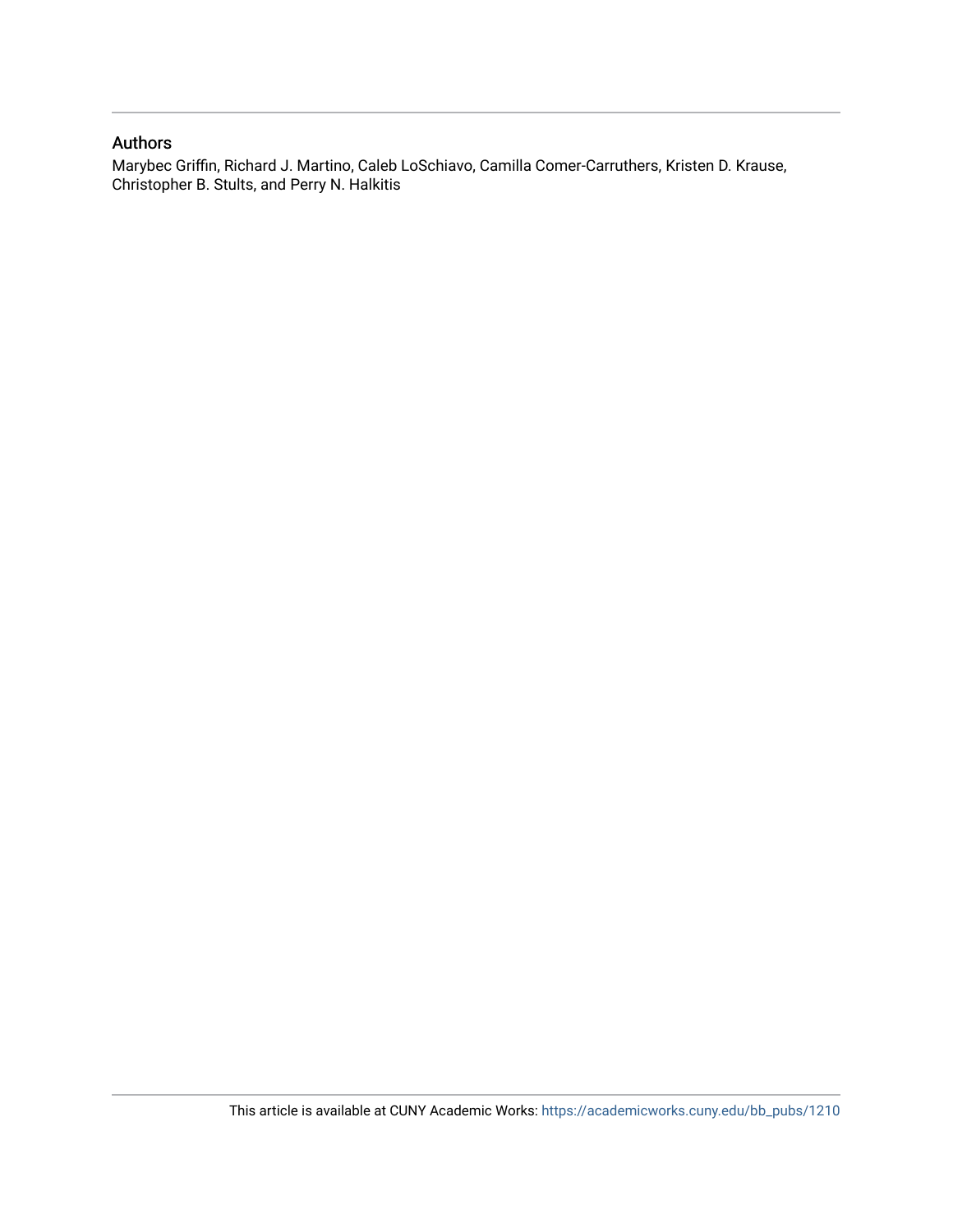### Authors

Marybec Griffin, Richard J. Martino, Caleb LoSchiavo, Camilla Comer-Carruthers, Kristen D. Krause, Christopher B. Stults, and Perry N. Halkitis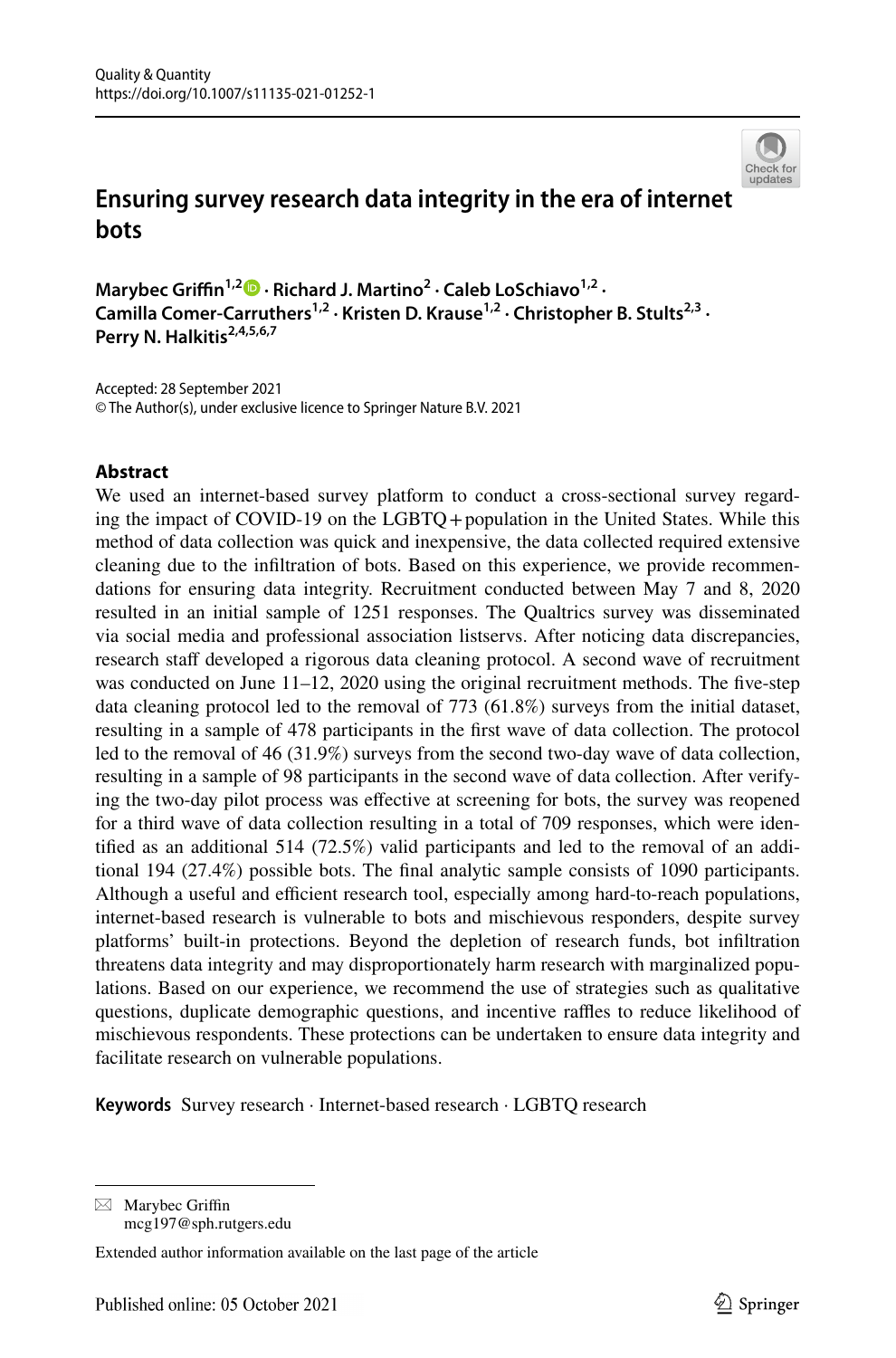

# **Ensuring survey research data integrity in the era of internet bots**

**Marybec Grifn1,[2](http://orcid.org/0000-0002-4840-3293) · Richard J. Martino<sup>2</sup> · Caleb LoSchiavo1,2 ·**  Camilla Comer-Carruthers<sup>1,2</sup> · Kristen D. Krause<sup>1,2</sup> · Christopher B. Stults<sup>2,3</sup> · Perry N. Halkitis<sup>2,4,5,6,7</sup>

Accepted: 28 September 2021 © The Author(s), under exclusive licence to Springer Nature B.V. 2021

#### **Abstract**

We used an internet-based survey platform to conduct a cross-sectional survey regarding the impact of COVID-19 on the LGBTQ+population in the United States. While this method of data collection was quick and inexpensive, the data collected required extensive cleaning due to the infltration of bots. Based on this experience, we provide recommendations for ensuring data integrity. Recruitment conducted between May 7 and 8, 2020 resulted in an initial sample of 1251 responses. The Qualtrics survey was disseminated via social media and professional association listservs. After noticing data discrepancies, research staff developed a rigorous data cleaning protocol. A second wave of recruitment was conducted on June 11–12, 2020 using the original recruitment methods. The five-step data cleaning protocol led to the removal of 773 (61.8%) surveys from the initial dataset, resulting in a sample of 478 participants in the frst wave of data collection. The protocol led to the removal of 46 (31.9%) surveys from the second two-day wave of data collection, resulting in a sample of 98 participants in the second wave of data collection. After verifying the two-day pilot process was efective at screening for bots, the survey was reopened for a third wave of data collection resulting in a total of 709 responses, which were identifed as an additional 514 (72.5%) valid participants and led to the removal of an additional 194 (27.4%) possible bots. The fnal analytic sample consists of 1090 participants. Although a useful and efficient research tool, especially among hard-to-reach populations, internet-based research is vulnerable to bots and mischievous responders, despite survey platforms' built-in protections. Beyond the depletion of research funds, bot infltration threatens data integrity and may disproportionately harm research with marginalized populations. Based on our experience, we recommend the use of strategies such as qualitative questions, duplicate demographic questions, and incentive raffles to reduce likelihood of mischievous respondents. These protections can be undertaken to ensure data integrity and facilitate research on vulnerable populations.

**Keywords** Survey research · Internet-based research · LGBTQ research

 $\boxtimes$  Marybec Griffin mcg197@sph.rutgers.edu

Extended author information available on the last page of the article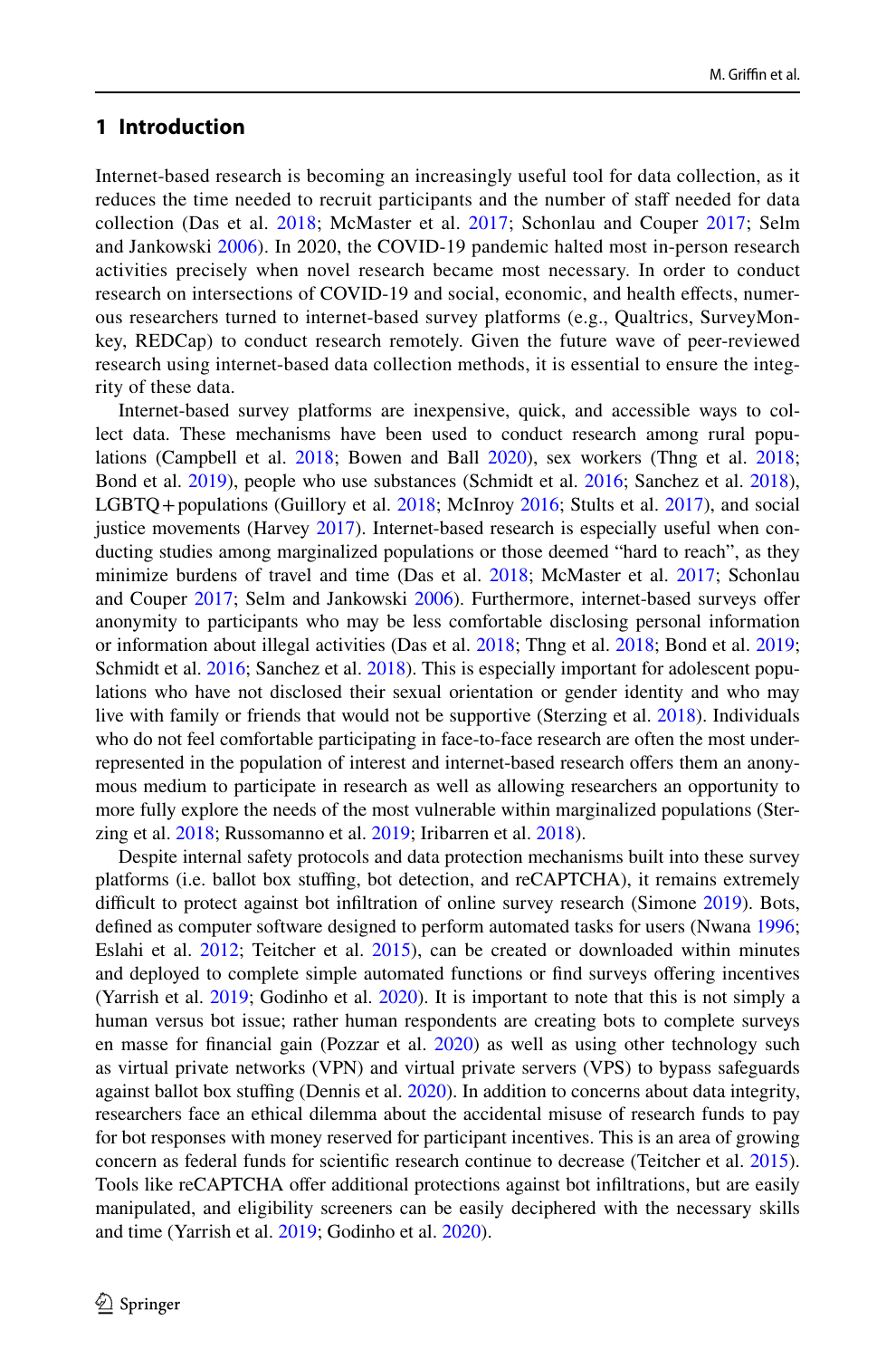#### **1 Introduction**

Internet-based research is becoming an increasingly useful tool for data collection, as it reduces the time needed to recruit participants and the number of staff needed for data collection (Das et al. [2018](#page-12-0); McMaster et al. [2017;](#page-12-1) Schonlau and Couper [2017](#page-12-2); Selm and Jankowski [2006](#page-13-0)). In 2020, the COVID-19 pandemic halted most in-person research activities precisely when novel research became most necessary. In order to conduct research on intersections of COVID-19 and social, economic, and health efects, numerous researchers turned to internet-based survey platforms (e.g., Qualtrics, SurveyMonkey, REDCap) to conduct research remotely. Given the future wave of peer-reviewed research using internet-based data collection methods, it is essential to ensure the integrity of these data.

Internet-based survey platforms are inexpensive, quick, and accessible ways to collect data. These mechanisms have been used to conduct research among rural populations (Campbell et al. [2018;](#page-11-0) Bowen and Ball [2020](#page-11-1)), sex workers (Thng et al. [2018;](#page-13-1) Bond et al. [2019](#page-11-2)), people who use substances (Schmidt et al. [2016;](#page-12-3) Sanchez et al. [2018](#page-12-4)), LGBTQ + populations (Guillory et al. [2018;](#page-12-5) McInroy [2016](#page-12-6); Stults et al. [2017](#page-13-2)), and social justice movements (Harvey [2017](#page-12-7)). Internet-based research is especially useful when conducting studies among marginalized populations or those deemed "hard to reach", as they minimize burdens of travel and time (Das et al. [2018](#page-12-0); McMaster et al. [2017;](#page-12-1) Schonlau and Couper [2017](#page-12-2); Selm and Jankowski [2006](#page-13-0)). Furthermore, internet-based surveys ofer anonymity to participants who may be less comfortable disclosing personal information or information about illegal activities (Das et al. [2018;](#page-12-0) Thng et al. [2018](#page-13-1); Bond et al. [2019;](#page-11-2) Schmidt et al. [2016](#page-12-3); Sanchez et al. [2018](#page-12-4)). This is especially important for adolescent populations who have not disclosed their sexual orientation or gender identity and who may live with family or friends that would not be supportive (Sterzing et al. [2018\)](#page-13-3). Individuals who do not feel comfortable participating in face-to-face research are often the most underrepresented in the population of interest and internet-based research ofers them an anonymous medium to participate in research as well as allowing researchers an opportunity to more fully explore the needs of the most vulnerable within marginalized populations (Sterzing et al. [2018](#page-13-3); Russomanno et al. [2019](#page-12-8); Iribarren et al. [2018](#page-12-9)).

Despite internal safety protocols and data protection mechanisms built into these survey platforms (i.e. ballot box stufng, bot detection, and reCAPTCHA), it remains extremely difficult to protect against bot infiltration of online survey research (Simone [2019](#page-13-4)). Bots, defned as computer software designed to perform automated tasks for users (Nwana [1996;](#page-12-10) Eslahi et al.  $2012$ ; Teitcher et al.  $2015$ ), can be created or downloaded within minutes and deployed to complete simple automated functions or fnd surveys ofering incentives (Yarrish et al. [2019](#page-13-6); Godinho et al. [2020\)](#page-12-12). It is important to note that this is not simply a human versus bot issue; rather human respondents are creating bots to complete surveys en masse for financial gain (Pozzar et al. [2020](#page-12-13)) as well as using other technology such as virtual private networks (VPN) and virtual private servers (VPS) to bypass safeguards against ballot box stuffing (Dennis et al. [2020\)](#page-12-14). In addition to concerns about data integrity, researchers face an ethical dilemma about the accidental misuse of research funds to pay for bot responses with money reserved for participant incentives. This is an area of growing concern as federal funds for scientifc research continue to decrease (Teitcher et al. [2015](#page-13-5)). Tools like reCAPTCHA offer additional protections against bot infiltrations, but are easily manipulated, and eligibility screeners can be easily deciphered with the necessary skills and time (Yarrish et al. [2019;](#page-13-6) Godinho et al. [2020\)](#page-12-12).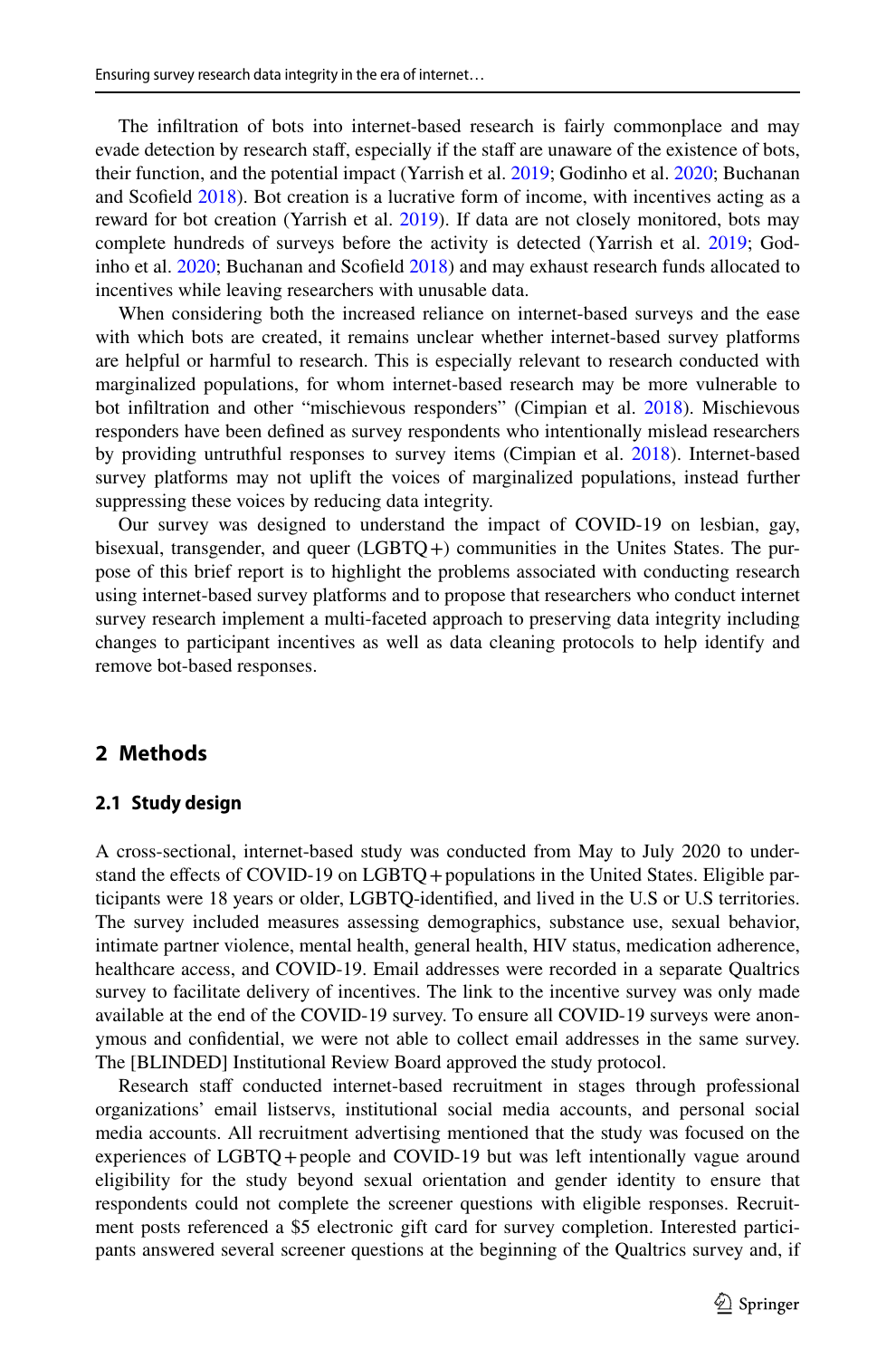The infltration of bots into internet-based research is fairly commonplace and may evade detection by research staff, especially if the staff are unaware of the existence of bots, their function, and the potential impact (Yarrish et al. [2019;](#page-13-6) Godinho et al. [2020;](#page-12-12) Buchanan and Scofeld [2018](#page-11-3)). Bot creation is a lucrative form of income, with incentives acting as a reward for bot creation (Yarrish et al. [2019](#page-13-6)). If data are not closely monitored, bots may complete hundreds of surveys before the activity is detected (Yarrish et al. [2019;](#page-13-6) Godinho et al. [2020;](#page-12-12) Buchanan and Scofeld [2018\)](#page-11-3) and may exhaust research funds allocated to incentives while leaving researchers with unusable data.

When considering both the increased reliance on internet-based surveys and the ease with which bots are created, it remains unclear whether internet-based survey platforms are helpful or harmful to research. This is especially relevant to research conducted with marginalized populations, for whom internet-based research may be more vulnerable to bot infltration and other "mischievous responders" (Cimpian et al. [2018](#page-12-15)). Mischievous responders have been defned as survey respondents who intentionally mislead researchers by providing untruthful responses to survey items (Cimpian et al. [2018\)](#page-12-15). Internet-based survey platforms may not uplift the voices of marginalized populations, instead further suppressing these voices by reducing data integrity.

Our survey was designed to understand the impact of COVID-19 on lesbian, gay, bisexual, transgender, and queer (LGBTQ+) communities in the Unites States. The purpose of this brief report is to highlight the problems associated with conducting research using internet-based survey platforms and to propose that researchers who conduct internet survey research implement a multi-faceted approach to preserving data integrity including changes to participant incentives as well as data cleaning protocols to help identify and remove bot-based responses.

#### **2 Methods**

#### **2.1 Study design**

A cross-sectional, internet-based study was conducted from May to July 2020 to understand the effects of COVID-19 on LGBTQ + populations in the United States. Eligible participants were 18 years or older, LGBTQ-identifed, and lived in the U.S or U.S territories. The survey included measures assessing demographics, substance use, sexual behavior, intimate partner violence, mental health, general health, HIV status, medication adherence, healthcare access, and COVID-19. Email addresses were recorded in a separate Qualtrics survey to facilitate delivery of incentives. The link to the incentive survey was only made available at the end of the COVID-19 survey. To ensure all COVID-19 surveys were anonymous and confdential, we were not able to collect email addresses in the same survey. The [BLINDED] Institutional Review Board approved the study protocol.

Research staff conducted internet-based recruitment in stages through professional organizations' email listservs, institutional social media accounts, and personal social media accounts. All recruitment advertising mentioned that the study was focused on the experiences of LGBTQ+people and COVID-19 but was left intentionally vague around eligibility for the study beyond sexual orientation and gender identity to ensure that respondents could not complete the screener questions with eligible responses. Recruitment posts referenced a \$5 electronic gift card for survey completion. Interested participants answered several screener questions at the beginning of the Qualtrics survey and, if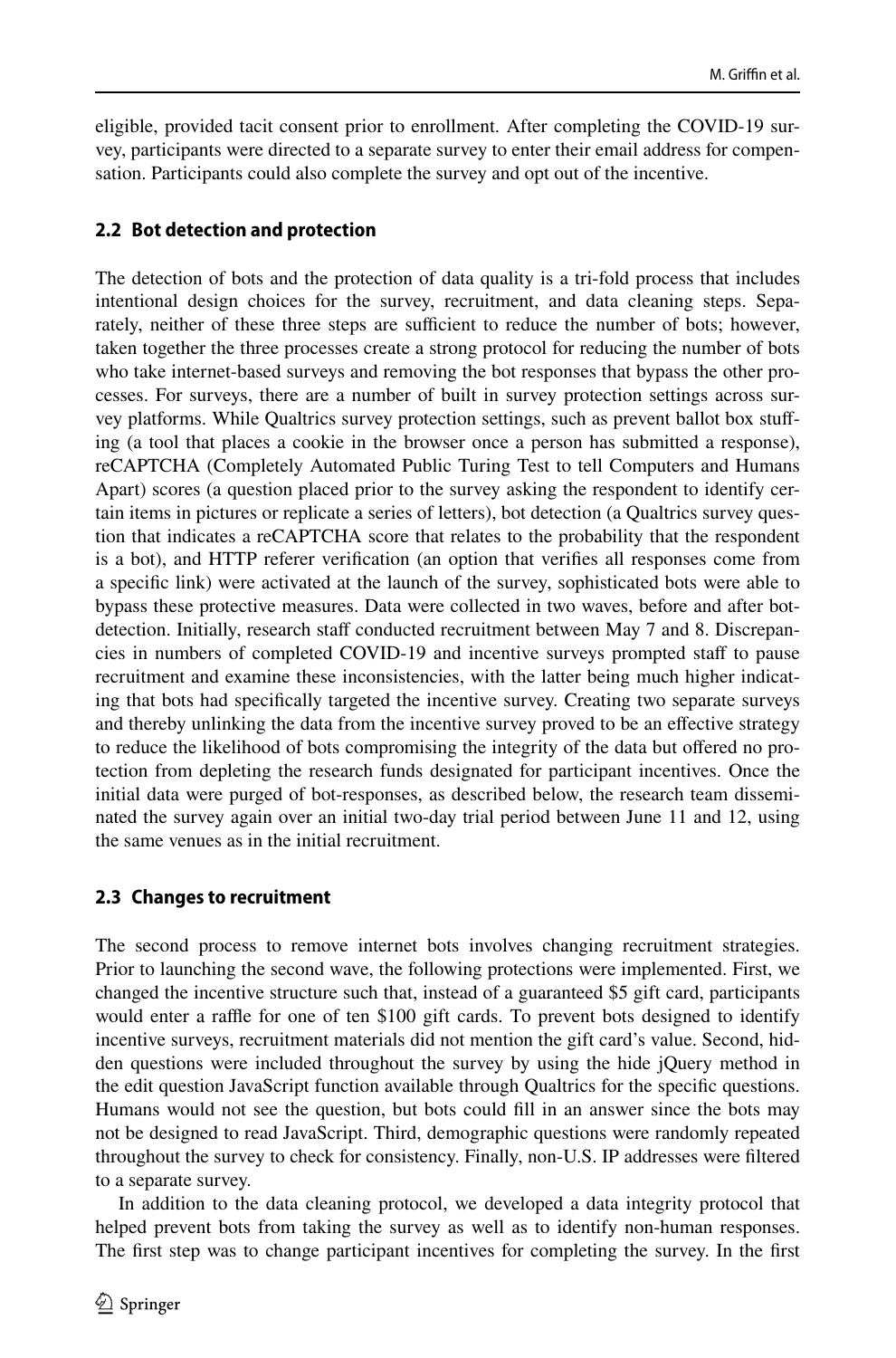eligible, provided tacit consent prior to enrollment. After completing the COVID-19 survey, participants were directed to a separate survey to enter their email address for compensation. Participants could also complete the survey and opt out of the incentive.

#### **2.2 Bot detection and protection**

The detection of bots and the protection of data quality is a tri-fold process that includes intentional design choices for the survey, recruitment, and data cleaning steps. Separately, neither of these three steps are sufficient to reduce the number of bots; however, taken together the three processes create a strong protocol for reducing the number of bots who take internet-based surveys and removing the bot responses that bypass the other processes. For surveys, there are a number of built in survey protection settings across survey platforms. While Qualtrics survey protection settings, such as prevent ballot box stufing (a tool that places a cookie in the browser once a person has submitted a response), reCAPTCHA (Completely Automated Public Turing Test to tell Computers and Humans Apart) scores (a question placed prior to the survey asking the respondent to identify certain items in pictures or replicate a series of letters), bot detection (a Qualtrics survey question that indicates a reCAPTCHA score that relates to the probability that the respondent is a bot), and HTTP referer verifcation (an option that verifes all responses come from a specifc link) were activated at the launch of the survey, sophisticated bots were able to bypass these protective measures. Data were collected in two waves, before and after botdetection. Initially, research staff conducted recruitment between May 7 and 8. Discrepancies in numbers of completed COVID-19 and incentive surveys prompted staf to pause recruitment and examine these inconsistencies, with the latter being much higher indicating that bots had specifcally targeted the incentive survey. Creating two separate surveys and thereby unlinking the data from the incentive survey proved to be an efective strategy to reduce the likelihood of bots compromising the integrity of the data but ofered no protection from depleting the research funds designated for participant incentives. Once the initial data were purged of bot-responses, as described below, the research team disseminated the survey again over an initial two-day trial period between June 11 and 12, using the same venues as in the initial recruitment.

#### **2.3 Changes to recruitment**

The second process to remove internet bots involves changing recruitment strategies. Prior to launching the second wave, the following protections were implemented. First, we changed the incentive structure such that, instead of a guaranteed \$5 gift card, participants would enter a raffle for one of ten \$100 gift cards. To prevent bots designed to identify incentive surveys, recruitment materials did not mention the gift card's value. Second, hidden questions were included throughout the survey by using the hide jQuery method in the edit question JavaScript function available through Qualtrics for the specifc questions. Humans would not see the question, but bots could fll in an answer since the bots may not be designed to read JavaScript. Third, demographic questions were randomly repeated throughout the survey to check for consistency. Finally, non-U.S. IP addresses were fltered to a separate survey.

In addition to the data cleaning protocol, we developed a data integrity protocol that helped prevent bots from taking the survey as well as to identify non-human responses. The frst step was to change participant incentives for completing the survey. In the frst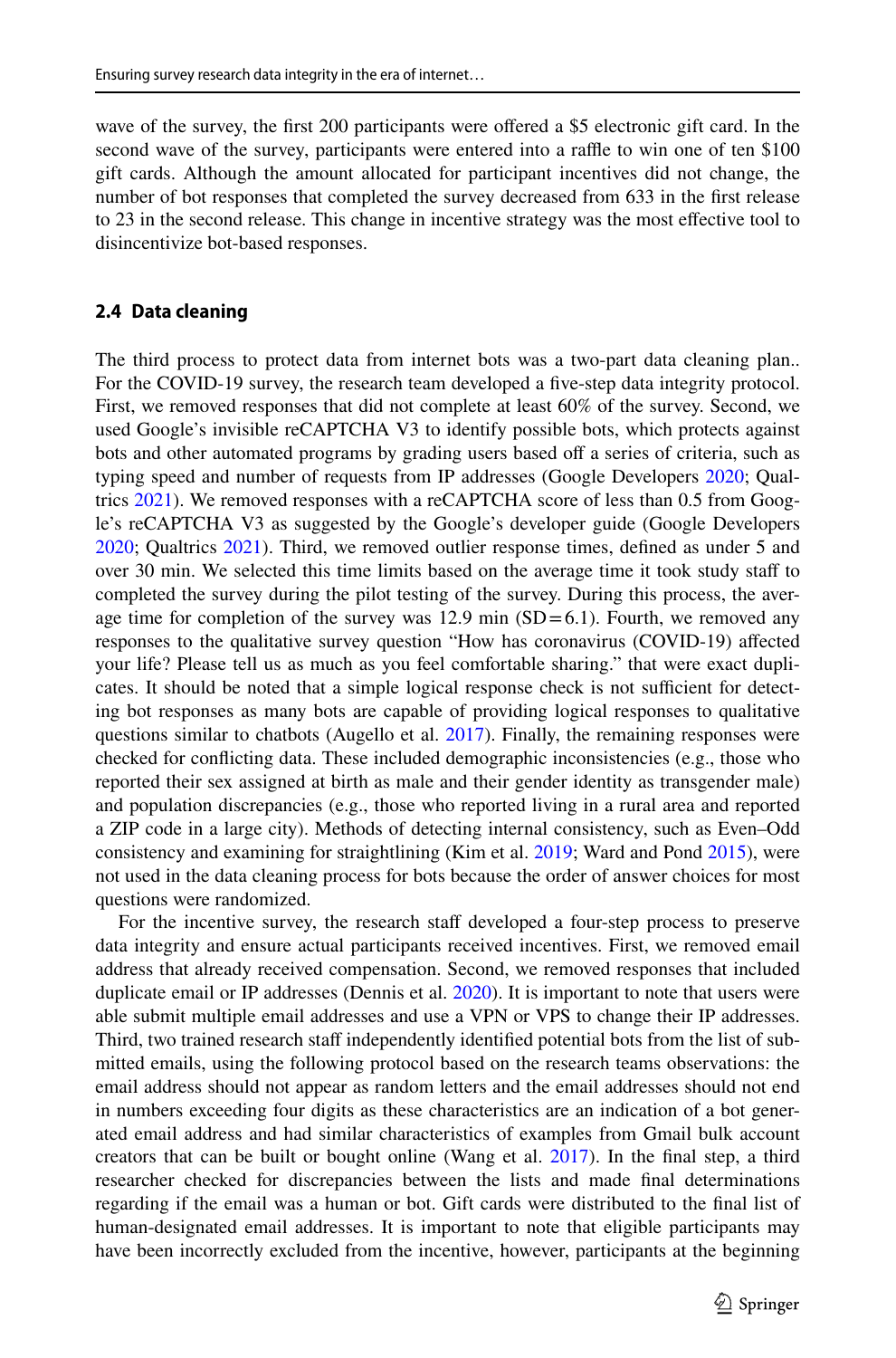wave of the survey, the first 200 participants were offered a \$5 electronic gift card. In the second wave of the survey, participants were entered into a raffle to win one of ten \$100 gift cards. Although the amount allocated for participant incentives did not change, the number of bot responses that completed the survey decreased from 633 in the frst release to 23 in the second release. This change in incentive strategy was the most efective tool to disincentivize bot-based responses.

#### **2.4 Data cleaning**

The third process to protect data from internet bots was a two-part data cleaning plan.. For the COVID-19 survey, the research team developed a five-step data integrity protocol. First, we removed responses that did not complete at least 60% of the survey. Second, we used Google's invisible reCAPTCHA V3 to identify possible bots, which protects against bots and other automated programs by grading users based off a series of criteria, such as typing speed and number of requests from IP addresses (Google Developers [2020](#page-12-16); Qual-trics [2021\)](#page-12-17). We removed responses with a reCAPTCHA score of less than 0.5 from Google's reCAPTCHA V3 as suggested by the Google's developer guide (Google Developers [2020;](#page-12-16) Qualtrics [2021\)](#page-12-17). Third, we removed outlier response times, defned as under 5 and over 30 min. We selected this time limits based on the average time it took study staff to completed the survey during the pilot testing of the survey. During this process, the average time for completion of the survey was  $12.9$  min  $(SD=6.1)$ . Fourth, we removed any responses to the qualitative survey question "How has coronavirus (COVID-19) afected your life? Please tell us as much as you feel comfortable sharing." that were exact duplicates. It should be noted that a simple logical response check is not sufficient for detecting bot responses as many bots are capable of providing logical responses to qualitative questions similar to chatbots (Augello et al. [2017\)](#page-11-4). Finally, the remaining responses were checked for conficting data. These included demographic inconsistencies (e.g., those who reported their sex assigned at birth as male and their gender identity as transgender male) and population discrepancies (e.g., those who reported living in a rural area and reported a ZIP code in a large city). Methods of detecting internal consistency, such as Even–Odd consistency and examining for straightlining (Kim et al. [2019](#page-12-18); Ward and Pond [2015](#page-13-7)), were not used in the data cleaning process for bots because the order of answer choices for most questions were randomized.

For the incentive survey, the research staff developed a four-step process to preserve data integrity and ensure actual participants received incentives. First, we removed email address that already received compensation. Second, we removed responses that included duplicate email or IP addresses (Dennis et al. [2020](#page-12-14)). It is important to note that users were able submit multiple email addresses and use a VPN or VPS to change their IP addresses. Third, two trained research staff independently identified potential bots from the list of submitted emails, using the following protocol based on the research teams observations: the email address should not appear as random letters and the email addresses should not end in numbers exceeding four digits as these characteristics are an indication of a bot generated email address and had similar characteristics of examples from Gmail bulk account creators that can be built or bought online (Wang et al. [2017\)](#page-13-8). In the fnal step, a third researcher checked for discrepancies between the lists and made fnal determinations regarding if the email was a human or bot. Gift cards were distributed to the fnal list of human-designated email addresses. It is important to note that eligible participants may have been incorrectly excluded from the incentive, however, participants at the beginning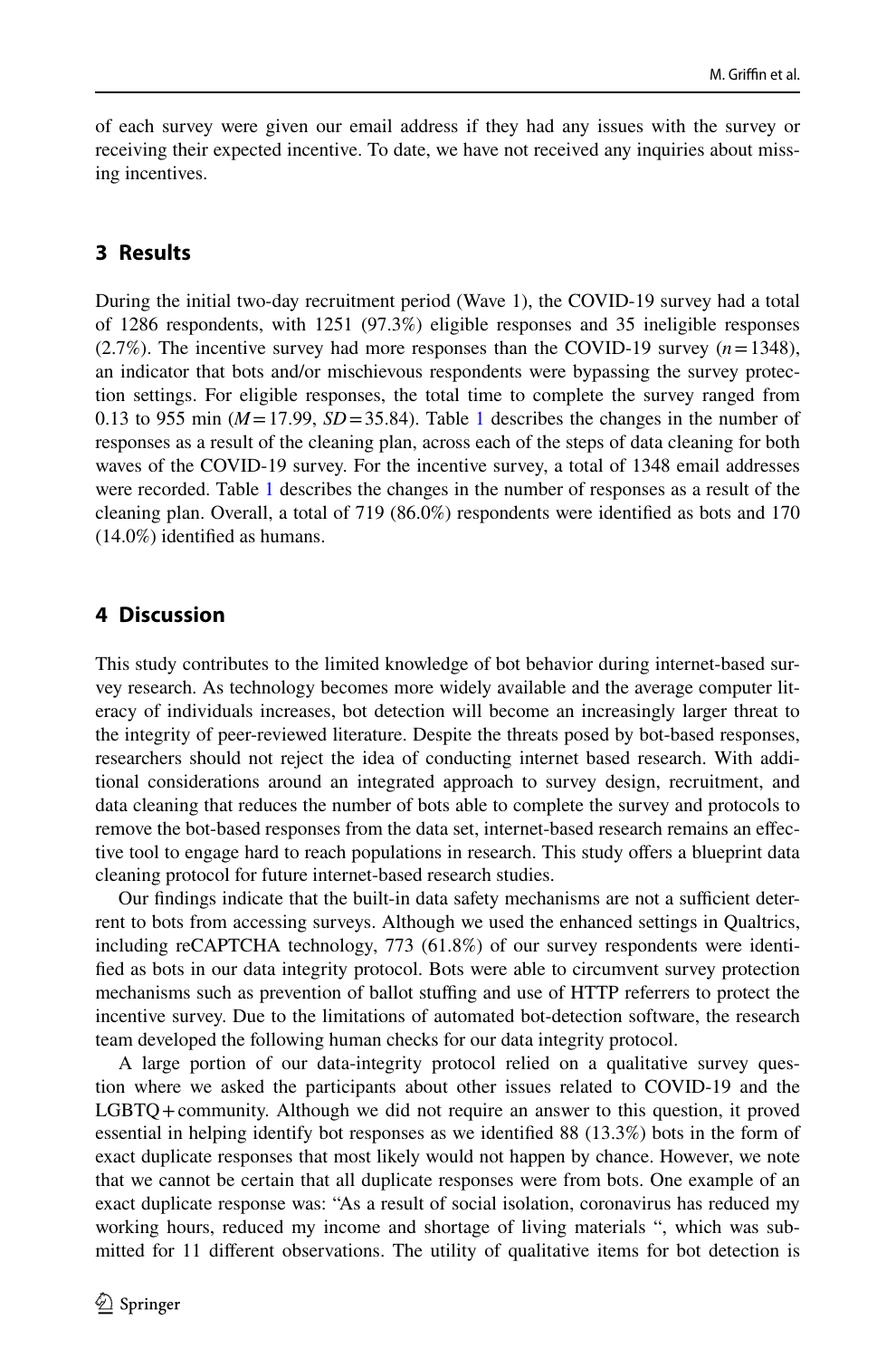of each survey were given our email address if they had any issues with the survey or receiving their expected incentive. To date, we have not received any inquiries about missing incentives.

#### **3 Results**

During the initial two-day recruitment period (Wave 1), the COVID-19 survey had a total of 1286 respondents, with 1251 (97.3%) eligible responses and 35 ineligible responses (2.7%). The incentive survey had more responses than the COVID-19 survey (*n*=1348), an indicator that bots and/or mischievous respondents were bypassing the survey protection settings. For eligible responses, the total time to complete the survey ranged from 0.[1](#page-8-0)3 to 955 min ( $M = 17.99$ ,  $SD = 35.84$ ). Table 1 describes the changes in the number of responses as a result of the cleaning plan, across each of the steps of data cleaning for both waves of the COVID-19 survey. For the incentive survey, a total of 1348 email addresses were recorded. Table [1](#page-8-0) describes the changes in the number of responses as a result of the cleaning plan. Overall, a total of 719 (86.0%) respondents were identifed as bots and 170 (14.0%) identifed as humans.

#### **4 Discussion**

This study contributes to the limited knowledge of bot behavior during internet-based survey research. As technology becomes more widely available and the average computer literacy of individuals increases, bot detection will become an increasingly larger threat to the integrity of peer-reviewed literature. Despite the threats posed by bot-based responses, researchers should not reject the idea of conducting internet based research. With additional considerations around an integrated approach to survey design, recruitment, and data cleaning that reduces the number of bots able to complete the survey and protocols to remove the bot-based responses from the data set, internet-based research remains an efective tool to engage hard to reach populations in research. This study ofers a blueprint data cleaning protocol for future internet-based research studies.

Our findings indicate that the built-in data safety mechanisms are not a sufficient deterrent to bots from accessing surveys. Although we used the enhanced settings in Qualtrics, including reCAPTCHA technology, 773 (61.8%) of our survey respondents were identifed as bots in our data integrity protocol. Bots were able to circumvent survey protection mechanisms such as prevention of ballot stuffing and use of HTTP referrers to protect the incentive survey. Due to the limitations of automated bot-detection software, the research team developed the following human checks for our data integrity protocol.

A large portion of our data-integrity protocol relied on a qualitative survey question where we asked the participants about other issues related to COVID-19 and the LGBTQ+community. Although we did not require an answer to this question, it proved essential in helping identify bot responses as we identifed 88 (13.3%) bots in the form of exact duplicate responses that most likely would not happen by chance. However, we note that we cannot be certain that all duplicate responses were from bots. One example of an exact duplicate response was: "As a result of social isolation, coronavirus has reduced my working hours, reduced my income and shortage of living materials ", which was submitted for 11 diferent observations. The utility of qualitative items for bot detection is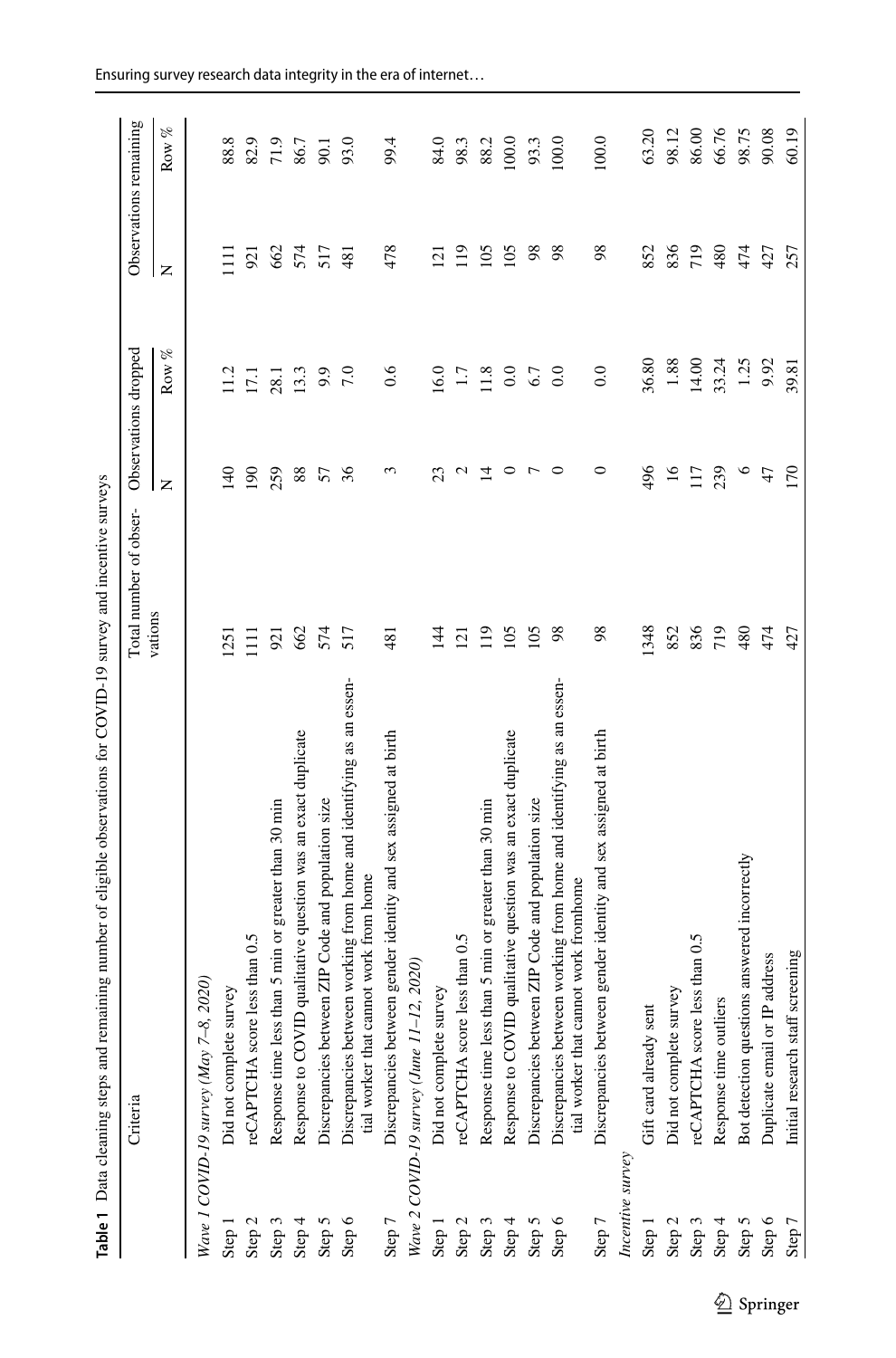<span id="page-8-0"></span>

| ׇ֚֬֕                   |
|------------------------|
| ׅ֖֚֚֡֡֬֝֬֝֬֝<br>i<br>j |
| j<br>١                 |
|                        |
|                        |
|                        |
|                        |
|                        |
|                        |
| l                      |
|                        |
| $\ddot{\phantom{a}}$   |
| ļ                      |
|                        |
| ׇ֚֘                    |
| l                      |
|                        |
| į<br>ļ<br>i            |
|                        |
| I                      |
| i<br>5                 |

|                   | Table 1 Data cleaning steps and remaining number of eligible observations for COVID-19 survey and incentive surveys |                        |                      |          |                        |       |
|-------------------|---------------------------------------------------------------------------------------------------------------------|------------------------|----------------------|----------|------------------------|-------|
|                   | Criteria                                                                                                            | Total number of obser- | Observations dropped |          | Observations remaining |       |
|                   |                                                                                                                     | vations                | $\overline{z}$       | Row %    | Z                      | Row % |
|                   | 2020)<br>Wave 1 COVID-19 survey (May 7-8,                                                                           |                        |                      |          |                        |       |
| Step 1            | Did not complete survey                                                                                             | 125                    | $\frac{40}{5}$       |          |                        | 88.8  |
| Step <sub>2</sub> | reCAPTCHA score less than 0.5                                                                                       | $\Xi$                  | 190                  | 17.1     | 921                    | 82.9  |
| Step 3            | Response time less than 5 min or greater than 30 min                                                                | 921                    | 259                  | 28.1     | 662                    | 71.9  |
| Step 4            | Response to COVID qualitative question was an exact duplicate                                                       | 662                    | 88                   | 13.3     | 574                    | 86.7  |
| Step 5            | en ZIP Code and population size<br>Discrepancies betwe                                                              | 574                    | 57                   | 9.9      | 517                    | 90.1  |
| Step 6            | Discrepancies between working from home and identifying as an essen-<br>tial worker that cannot work from home      | 517                    | 36                   | 7.0      | 481                    | 93.0  |
| Step 7            | Discrepancies between gender identity and sex assigned at birth                                                     | 481                    | 3                    | 0.6      | 478                    | 99.4  |
|                   | Wave 2 COVID-19 survey (June 11-12, 2020)                                                                           |                        |                      |          |                        |       |
| Step 1            | Did not complete survey                                                                                             | $\frac{14}{4}$         | ಔ                    | 16.0     | $\overline{2}$         | 84.0  |
| Step 2            | reCAPTCHA score less than 0.5                                                                                       | 121                    | $\mathbf{c}$         | 1.7      | 119                    | 98.3  |
| Step 3            | Response time less than 5 min or greater than 30 min                                                                | 119                    | 그                    | 11.8     | 105                    | 88.2  |
| Step 4            | Response to COVID qualitative question was an exact duplicate                                                       | 105                    | $\circ$              | $_{0.0}$ | 105                    | 100.0 |
| Step 5            | Discrepancies between ZIP Code and population size                                                                  | 105                    | $\overline{r}$       | 67       | 98                     | 93.3  |
| Step 6            | Discrepancies between working from home and identifying as an essen-<br>tial worker that cannot work fromhome       | 98                     | $\circ$              | $\rm{C}$ | 98                     | 100.0 |
| Step 7            | Discrepancies between gender identity and sex assigned at birth                                                     | 98                     | 0                    | $_{0.0}$ | 98                     | 100.0 |
| Incentive survey  |                                                                                                                     |                        |                      |          |                        |       |
| Step 1            | Gift card already sent                                                                                              | 1348                   | 496                  | 36.80    | 852                    | 63.20 |
| Step 2            | Did not complete survey                                                                                             | 852                    | $\overline{16}$      | $1.88\,$ | 836                    | 98.12 |
| Step 3            | reCAPTCHA score less than 0.5                                                                                       | 836                    | 117                  | 14.00    | 719                    | 86.00 |
| Step 4            | Response time outliers                                                                                              | 719                    | 239                  | 33.24    | 480                    | 66.76 |
| Step 5            | Bot detection questions answered incorrectly                                                                        | 480                    | $\circ$              | 1.25     | 474                    | 98.75 |
| Step 6            | Duplicate email or IP address                                                                                       | 474                    | 47                   | 9.92     | 427                    | 90.08 |
| Step 7            | screening<br>Initial research staff                                                                                 | 427                    | 170                  | 39.81    | 257                    | 60.19 |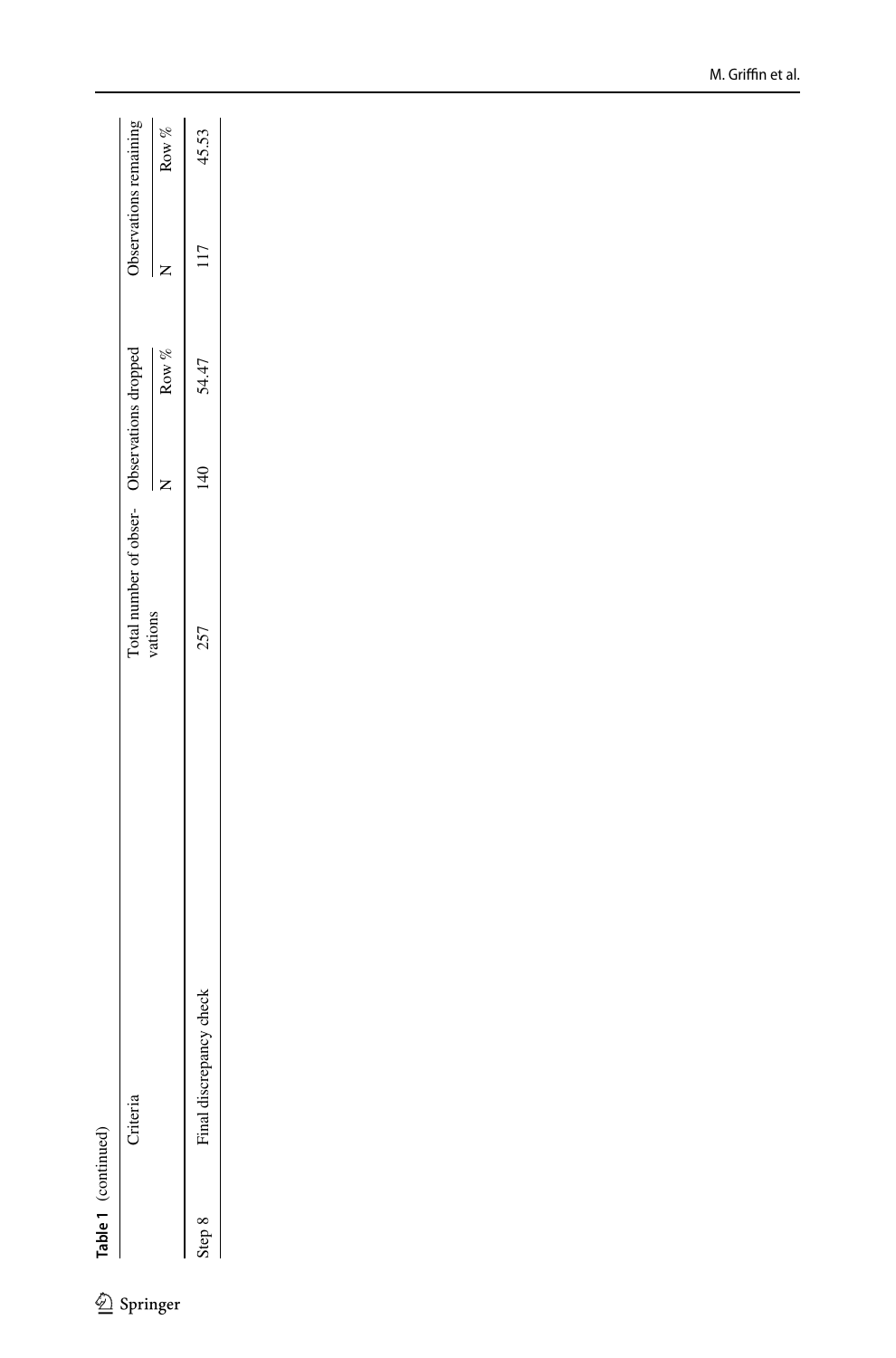$\underline{\textcircled{\tiny 2}}$  Springer

|             |             | Total number of obser- Observations dropped |     |         |     | Observations remaining |
|-------------|-------------|---------------------------------------------|-----|---------|-----|------------------------|
|             |             | vations                                     |     | Row $%$ |     | Row $\%$               |
| ina<br>tep. | 257<br>heck |                                             | 140 | 54.47   | 117 | 45.53                  |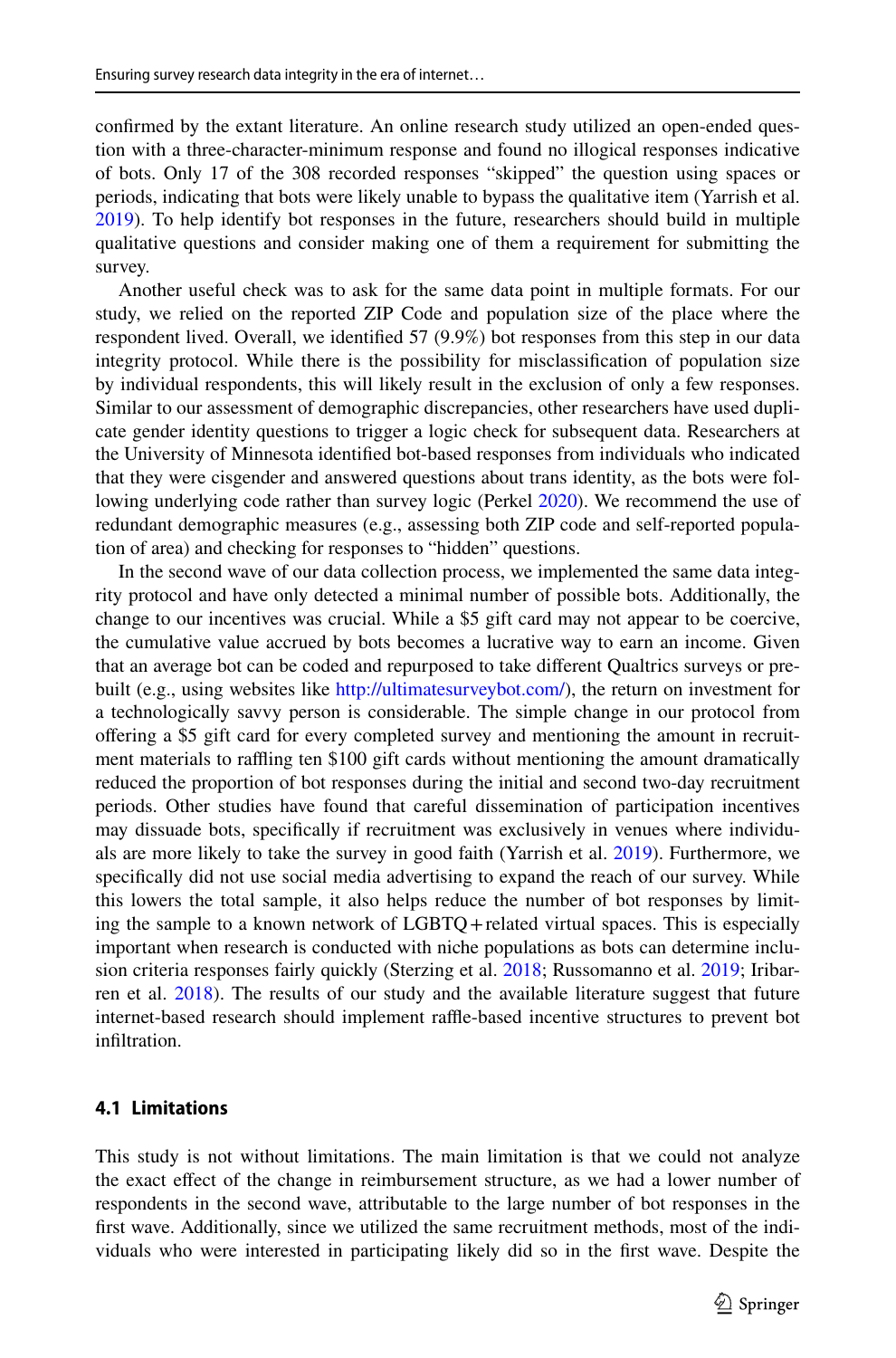confrmed by the extant literature. An online research study utilized an open-ended question with a three-character-minimum response and found no illogical responses indicative of bots. Only 17 of the 308 recorded responses "skipped" the question using spaces or periods, indicating that bots were likely unable to bypass the qualitative item (Yarrish et al. [2019\)](#page-13-6). To help identify bot responses in the future, researchers should build in multiple qualitative questions and consider making one of them a requirement for submitting the survey.

Another useful check was to ask for the same data point in multiple formats. For our study, we relied on the reported ZIP Code and population size of the place where the respondent lived. Overall, we identifed 57 (9.9%) bot responses from this step in our data integrity protocol. While there is the possibility for misclassifcation of population size by individual respondents, this will likely result in the exclusion of only a few responses. Similar to our assessment of demographic discrepancies, other researchers have used duplicate gender identity questions to trigger a logic check for subsequent data. Researchers at the University of Minnesota identifed bot-based responses from individuals who indicated that they were cisgender and answered questions about trans identity, as the bots were following underlying code rather than survey logic (Perkel [2020](#page-12-19)). We recommend the use of redundant demographic measures (e.g., assessing both ZIP code and self-reported population of area) and checking for responses to "hidden" questions.

In the second wave of our data collection process, we implemented the same data integrity protocol and have only detected a minimal number of possible bots. Additionally, the change to our incentives was crucial. While a \$5 gift card may not appear to be coercive, the cumulative value accrued by bots becomes a lucrative way to earn an income. Given that an average bot can be coded and repurposed to take diferent Qualtrics surveys or prebuilt (e.g., using websites like <http://ultimatesurveybot.com/>), the return on investment for a technologically savvy person is considerable. The simple change in our protocol from ofering a \$5 gift card for every completed survey and mentioning the amount in recruitment materials to rafing ten \$100 gift cards without mentioning the amount dramatically reduced the proportion of bot responses during the initial and second two-day recruitment periods. Other studies have found that careful dissemination of participation incentives may dissuade bots, specifcally if recruitment was exclusively in venues where individuals are more likely to take the survey in good faith (Yarrish et al. [2019](#page-13-6)). Furthermore, we specifcally did not use social media advertising to expand the reach of our survey. While this lowers the total sample, it also helps reduce the number of bot responses by limiting the sample to a known network of LGBTQ+related virtual spaces. This is especially important when research is conducted with niche populations as bots can determine inclusion criteria responses fairly quickly (Sterzing et al. [2018;](#page-13-3) Russomanno et al. [2019](#page-12-8); Iribarren et al. [2018\)](#page-12-9). The results of our study and the available literature suggest that future internet-based research should implement raffle-based incentive structures to prevent bot infltration.

#### **4.1 Limitations**

This study is not without limitations. The main limitation is that we could not analyze the exact efect of the change in reimbursement structure, as we had a lower number of respondents in the second wave, attributable to the large number of bot responses in the frst wave. Additionally, since we utilized the same recruitment methods, most of the individuals who were interested in participating likely did so in the frst wave. Despite the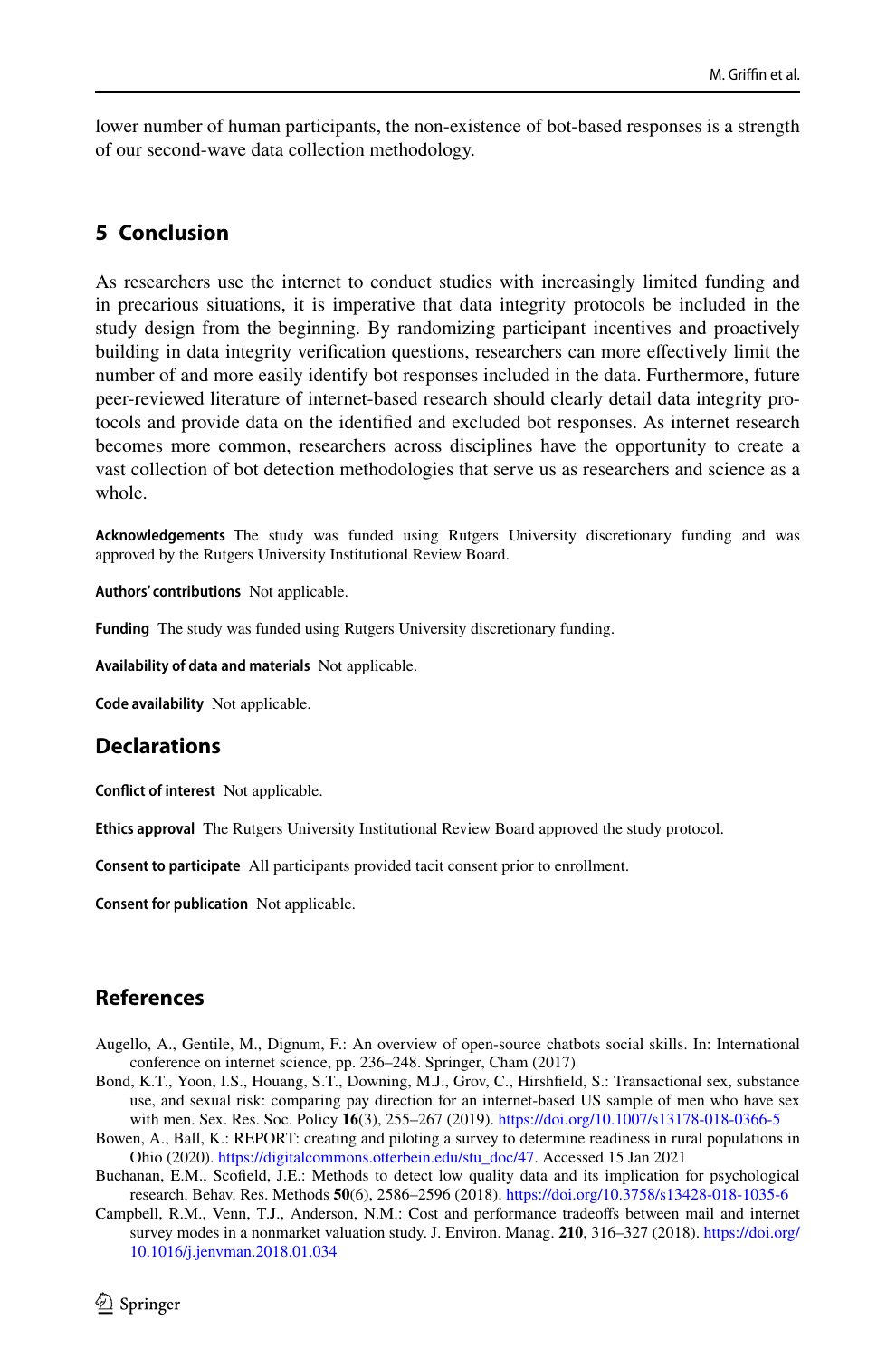lower number of human participants, the non-existence of bot-based responses is a strength of our second-wave data collection methodology.

### **5 Conclusion**

As researchers use the internet to conduct studies with increasingly limited funding and in precarious situations, it is imperative that data integrity protocols be included in the study design from the beginning. By randomizing participant incentives and proactively building in data integrity verifcation questions, researchers can more efectively limit the number of and more easily identify bot responses included in the data. Furthermore, future peer-reviewed literature of internet-based research should clearly detail data integrity protocols and provide data on the identifed and excluded bot responses. As internet research becomes more common, researchers across disciplines have the opportunity to create a vast collection of bot detection methodologies that serve us as researchers and science as a whole.

**Acknowledgements** The study was funded using Rutgers University discretionary funding and was approved by the Rutgers University Institutional Review Board.

**Authors' contributions** Not applicable.

**Funding** The study was funded using Rutgers University discretionary funding.

**Availability of data and materials** Not applicable.

**Code availability** Not applicable.

### **Declarations**

**Confict of interest** Not applicable.

**Ethics approval** The Rutgers University Institutional Review Board approved the study protocol.

**Consent to participate** All participants provided tacit consent prior to enrollment.

**Consent for publication** Not applicable.

## **References**

- <span id="page-11-4"></span>Augello, A., Gentile, M., Dignum, F.: An overview of open-source chatbots social skills. In: International conference on internet science, pp. 236–248. Springer, Cham (2017)
- <span id="page-11-2"></span>Bond, K.T., Yoon, I.S., Houang, S.T., Downing, M.J., Grov, C., Hirshfeld, S.: Transactional sex, substance use, and sexual risk: comparing pay direction for an internet-based US sample of men who have sex with men. Sex. Res. Soc. Policy **16**(3), 255–267 (2019). <https://doi.org/10.1007/s13178-018-0366-5>
- <span id="page-11-1"></span>Bowen, A., Ball, K.: REPORT: creating and piloting a survey to determine readiness in rural populations in Ohio (2020). [https://digitalcommons.otterbein.edu/stu\\_doc/47](https://digitalcommons.otterbein.edu/stu_doc/47). Accessed 15 Jan 2021
- <span id="page-11-3"></span>Buchanan, E.M., Scofeld, J.E.: Methods to detect low quality data and its implication for psychological research. Behav. Res. Methods **50**(6), 2586–2596 (2018).<https://doi.org/10.3758/s13428-018-1035-6>
- <span id="page-11-0"></span>Campbell, R.M., Venn, T.J., Anderson, N.M.: Cost and performance tradeofs between mail and internet survey modes in a nonmarket valuation study. J. Environ. Manag. **210**, 316–327 (2018). [https://doi.org/](https://doi.org/10.1016/j.jenvman.2018.01.034) [10.1016/j.jenvman.2018.01.034](https://doi.org/10.1016/j.jenvman.2018.01.034)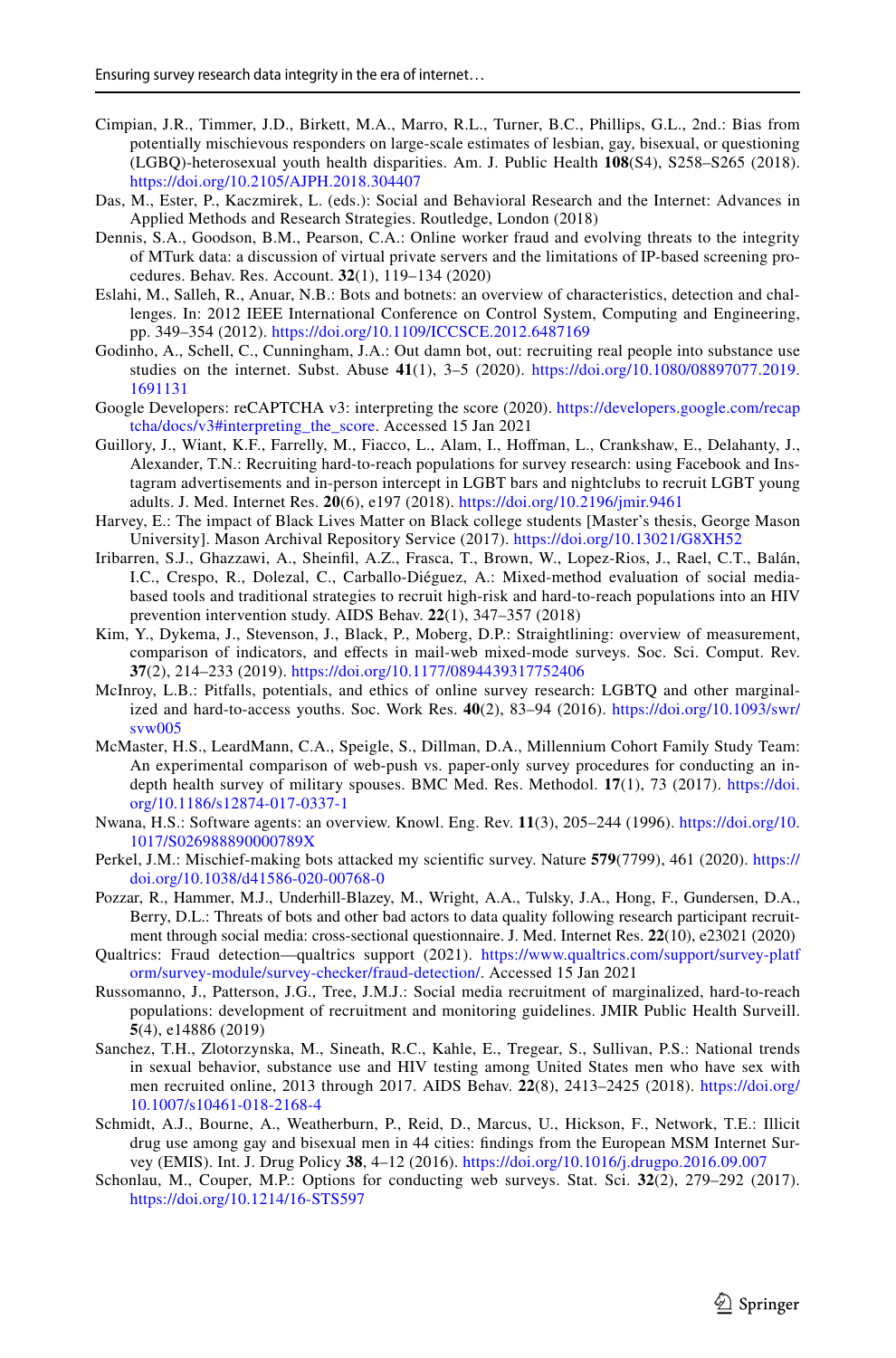- <span id="page-12-15"></span>Cimpian, J.R., Timmer, J.D., Birkett, M.A., Marro, R.L., Turner, B.C., Phillips, G.L., 2nd.: Bias from potentially mischievous responders on large-scale estimates of lesbian, gay, bisexual, or questioning (LGBQ)-heterosexual youth health disparities. Am. J. Public Health **108**(S4), S258–S265 (2018). <https://doi.org/10.2105/AJPH.2018.304407>
- <span id="page-12-0"></span>Das, M., Ester, P., Kaczmirek, L. (eds.): Social and Behavioral Research and the Internet: Advances in Applied Methods and Research Strategies. Routledge, London (2018)
- <span id="page-12-14"></span>Dennis, S.A., Goodson, B.M., Pearson, C.A.: Online worker fraud and evolving threats to the integrity of MTurk data: a discussion of virtual private servers and the limitations of IP-based screening procedures. Behav. Res. Account. **32**(1), 119–134 (2020)
- <span id="page-12-11"></span>Eslahi, M., Salleh, R., Anuar, N.B.: Bots and botnets: an overview of characteristics, detection and challenges. In: 2012 IEEE International Conference on Control System, Computing and Engineering, pp. 349–354 (2012).<https://doi.org/10.1109/ICCSCE.2012.6487169>
- <span id="page-12-12"></span>Godinho, A., Schell, C., Cunningham, J.A.: Out damn bot, out: recruiting real people into substance use studies on the internet. Subst. Abuse **41**(1), 3–5 (2020). [https://doi.org/10.1080/08897077.2019.](https://doi.org/10.1080/08897077.2019.1691131) [1691131](https://doi.org/10.1080/08897077.2019.1691131)
- <span id="page-12-16"></span>Google Developers: reCAPTCHA v3: interpreting the score (2020). [https://developers.google.com/recap](https://developers.google.com/recaptcha/docs/v3#interpreting_the_score) [tcha/docs/v3#interpreting\\_the\\_score](https://developers.google.com/recaptcha/docs/v3#interpreting_the_score). Accessed 15 Jan 2021
- <span id="page-12-5"></span>Guillory, J., Wiant, K.F., Farrelly, M., Fiacco, L., Alam, I., Hofman, L., Crankshaw, E., Delahanty, J., Alexander, T.N.: Recruiting hard-to-reach populations for survey research: using Facebook and Instagram advertisements and in-person intercept in LGBT bars and nightclubs to recruit LGBT young adults. J. Med. Internet Res. **20**(6), e197 (2018).<https://doi.org/10.2196/jmir.9461>
- <span id="page-12-7"></span>Harvey, E.: The impact of Black Lives Matter on Black college students [Master's thesis, George Mason University]. Mason Archival Repository Service (2017).<https://doi.org/10.13021/G8XH52>
- <span id="page-12-9"></span>Iribarren, S.J., Ghazzawi, A., Sheinfl, A.Z., Frasca, T., Brown, W., Lopez-Rios, J., Rael, C.T., Balán, I.C., Crespo, R., Dolezal, C., Carballo-Diéguez, A.: Mixed-method evaluation of social mediabased tools and traditional strategies to recruit high-risk and hard-to-reach populations into an HIV prevention intervention study. AIDS Behav. **22**(1), 347–357 (2018)
- <span id="page-12-18"></span>Kim, Y., Dykema, J., Stevenson, J., Black, P., Moberg, D.P.: Straightlining: overview of measurement, comparison of indicators, and efects in mail-web mixed-mode surveys. Soc. Sci. Comput. Rev. **37**(2), 214–233 (2019). <https://doi.org/10.1177/0894439317752406>
- <span id="page-12-6"></span>McInroy, L.B.: Pitfalls, potentials, and ethics of online survey research: LGBTQ and other marginalized and hard-to-access youths. Soc. Work Res. **40**(2), 83–94 (2016). [https://doi.org/10.1093/swr/](https://doi.org/10.1093/swr/svw005) [svw005](https://doi.org/10.1093/swr/svw005)
- <span id="page-12-1"></span>McMaster, H.S., LeardMann, C.A., Speigle, S., Dillman, D.A., Millennium Cohort Family Study Team: An experimental comparison of web-push vs. paper-only survey procedures for conducting an indepth health survey of military spouses. BMC Med. Res. Methodol. **17**(1), 73 (2017). [https://doi.](https://doi.org/10.1186/s12874-017-0337-1) [org/10.1186/s12874-017-0337-1](https://doi.org/10.1186/s12874-017-0337-1)
- <span id="page-12-10"></span>Nwana, H.S.: Software agents: an overview. Knowl. Eng. Rev. **11**(3), 205–244 (1996). [https://doi.org/10.](https://doi.org/10.1017/S026988890000789X) [1017/S026988890000789X](https://doi.org/10.1017/S026988890000789X)
- <span id="page-12-19"></span>Perkel, J.M.: Mischief-making bots attacked my scientifc survey. Nature **579**(7799), 461 (2020). [https://](https://doi.org/10.1038/d41586-020-00768-0) [doi.org/10.1038/d41586-020-00768-0](https://doi.org/10.1038/d41586-020-00768-0)
- <span id="page-12-13"></span>Pozzar, R., Hammer, M.J., Underhill-Blazey, M., Wright, A.A., Tulsky, J.A., Hong, F., Gundersen, D.A., Berry, D.L.: Threats of bots and other bad actors to data quality following research participant recruitment through social media: cross-sectional questionnaire. J. Med. Internet Res. **22**(10), e23021 (2020)
- <span id="page-12-17"></span>Qualtrics: Fraud detection—qualtrics support (2021). [https://www.qualtrics.com/support/survey-platf](https://www.qualtrics.com/support/survey-platform/survey-module/survey-checker/fraud-detection/) [orm/survey-module/survey-checker/fraud-detection/.](https://www.qualtrics.com/support/survey-platform/survey-module/survey-checker/fraud-detection/) Accessed 15 Jan 2021
- <span id="page-12-8"></span>Russomanno, J., Patterson, J.G., Tree, J.M.J.: Social media recruitment of marginalized, hard-to-reach populations: development of recruitment and monitoring guidelines. JMIR Public Health Surveill. **5**(4), e14886 (2019)
- <span id="page-12-4"></span>Sanchez, T.H., Zlotorzynska, M., Sineath, R.C., Kahle, E., Tregear, S., Sullivan, P.S.: National trends in sexual behavior, substance use and HIV testing among United States men who have sex with men recruited online, 2013 through 2017. AIDS Behav. **22**(8), 2413–2425 (2018). [https://doi.org/](https://doi.org/10.1007/s10461-018-2168-4) [10.1007/s10461-018-2168-4](https://doi.org/10.1007/s10461-018-2168-4)
- <span id="page-12-3"></span>Schmidt, A.J., Bourne, A., Weatherburn, P., Reid, D., Marcus, U., Hickson, F., Network, T.E.: Illicit drug use among gay and bisexual men in 44 cities: fndings from the European MSM Internet Survey (EMIS). Int. J. Drug Policy **38**, 4–12 (2016). <https://doi.org/10.1016/j.drugpo.2016.09.007>
- <span id="page-12-2"></span>Schonlau, M., Couper, M.P.: Options for conducting web surveys. Stat. Sci. **32**(2), 279–292 (2017). <https://doi.org/10.1214/16-STS597>